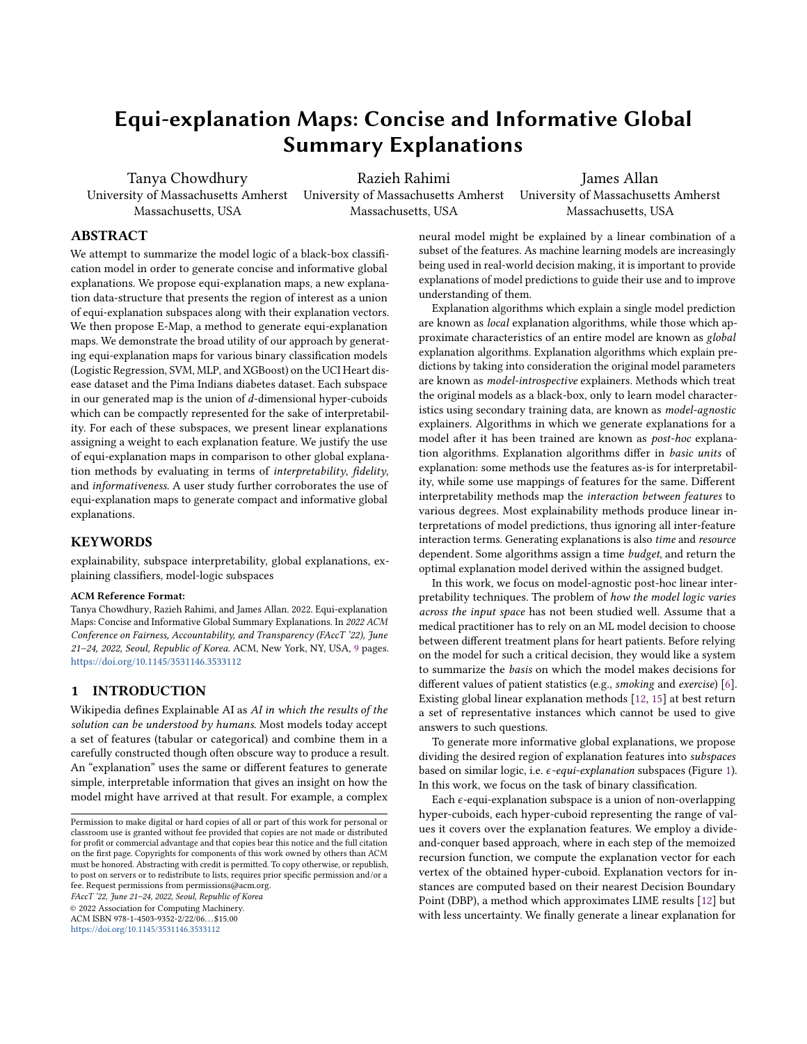# Equi-explanation Maps: Concise and Informative Global Summary Explanations

Tanya Chowdhury Massachusetts, USA

University of Massachusetts Amherst University of Massachusetts Amherst Razieh Rahimi Massachusetts, USA

James Allan University of Massachusetts Amherst Massachusetts, USA

# ABSTRACT

We attempt to summarize the model logic of a black-box classification model in order to generate concise and informative global explanations. We propose equi-explanation maps, a new explanation data-structure that presents the region of interest as a union of equi-explanation subspaces along with their explanation vectors. We then propose E-Map, a method to generate equi-explanation maps. We demonstrate the broad utility of our approach by generating equi-explanation maps for various binary classification models (Logistic Regression, SVM, MLP, and XGBoost) on the UCI Heart disease dataset and the Pima Indians diabetes dataset. Each subspace in our generated map is the union of  $d$ -dimensional hyper-cuboids which can be compactly represented for the sake of interpretability. For each of these subspaces, we present linear explanations assigning a weight to each explanation feature. We justify the use of equi-explanation maps in comparison to other global explanation methods by evaluating in terms of interpretability, fidelity, and informativeness. A user study further corroborates the use of equi-explanation maps to generate compact and informative global explanations.

# **KEYWORDS**

explainability, subspace interpretability, global explanations, explaining classifiers, model-logic subspaces

#### ACM Reference Format:

Tanya Chowdhury, Razieh Rahimi, and James Allan. 2022. Equi-explanation Maps: Concise and Informative Global Summary Explanations. In 2022 ACM Conference on Fairness, Accountability, and Transparency (FAccT '22), June 21–24, 2022, Seoul, Republic of Korea. ACM, New York, NY, USA, [9](#page-8-0) pages. <https://doi.org/10.1145/3531146.3533112>

## 1 INTRODUCTION

Wikipedia defines Explainable AI as AI in which the results of the solution can be understood by humans. Most models today accept a set of features (tabular or categorical) and combine them in a carefully constructed though often obscure way to produce a result. An "explanation" uses the same or different features to generate simple, interpretable information that gives an insight on how the model might have arrived at that result. For example, a complex

FAccT '22, June 21–24, 2022, Seoul, Republic of Korea © 2022 Association for Computing Machinery.

ACM ISBN 978-1-4503-9352-2/22/06. . . \$15.00 <https://doi.org/10.1145/3531146.3533112>

neural model might be explained by a linear combination of a subset of the features. As machine learning models are increasingly being used in real-world decision making, it is important to provide explanations of model predictions to guide their use and to improve understanding of them.

Explanation algorithms which explain a single model prediction are known as local explanation algorithms, while those which approximate characteristics of an entire model are known as global explanation algorithms. Explanation algorithms which explain predictions by taking into consideration the original model parameters are known as model-introspective explainers. Methods which treat the original models as a black-box, only to learn model characteristics using secondary training data, are known as model-agnostic explainers. Algorithms in which we generate explanations for a model after it has been trained are known as post-hoc explanation algorithms. Explanation algorithms differ in basic units of explanation: some methods use the features as-is for interpretability, while some use mappings of features for the same. Different interpretability methods map the interaction between features to various degrees. Most explainability methods produce linear interpretations of model predictions, thus ignoring all inter-feature interaction terms. Generating explanations is also time and resource dependent. Some algorithms assign a time budget, and return the optimal explanation model derived within the assigned budget.

In this work, we focus on model-agnostic post-hoc linear interpretability techniques. The problem of how the model logic varies across the input space has not been studied well. Assume that a medical practitioner has to rely on an ML model decision to choose between different treatment plans for heart patients. Before relying on the model for such a critical decision, they would like a system to summarize the basis on which the model makes decisions for different values of patient statistics (e.g., smoking and exercise) [\[6\]](#page-8-1). Existing global linear explanation methods [\[12,](#page-8-2) [15\]](#page-8-3) at best return a set of representative instances which cannot be used to give answers to such questions.

To generate more informative global explanations, we propose dividing the desired region of explanation features into subspaces based on similar logic, i.e.  $\epsilon$ -equi-explanation subspaces (Figure [1\)](#page-1-0). In this work, we focus on the task of binary classification.

Each  $\epsilon$ -equi-explanation subspace is a union of non-overlapping hyper-cuboids, each hyper-cuboid representing the range of values it covers over the explanation features. We employ a divideand-conquer based approach, where in each step of the memoized recursion function, we compute the explanation vector for each vertex of the obtained hyper-cuboid. Explanation vectors for instances are computed based on their nearest Decision Boundary Point (DBP), a method which approximates LIME results [\[12\]](#page-8-2) but with less uncertainty. We finally generate a linear explanation for

Permission to make digital or hard copies of all or part of this work for personal or classroom use is granted without fee provided that copies are not made or distributed for profit or commercial advantage and that copies bear this notice and the full citation on the first page. Copyrights for components of this work owned by others than ACM must be honored. Abstracting with credit is permitted. To copy otherwise, or republish, to post on servers or to redistribute to lists, requires prior specific permission and/or a fee. Request permissions from permissions@acm.org.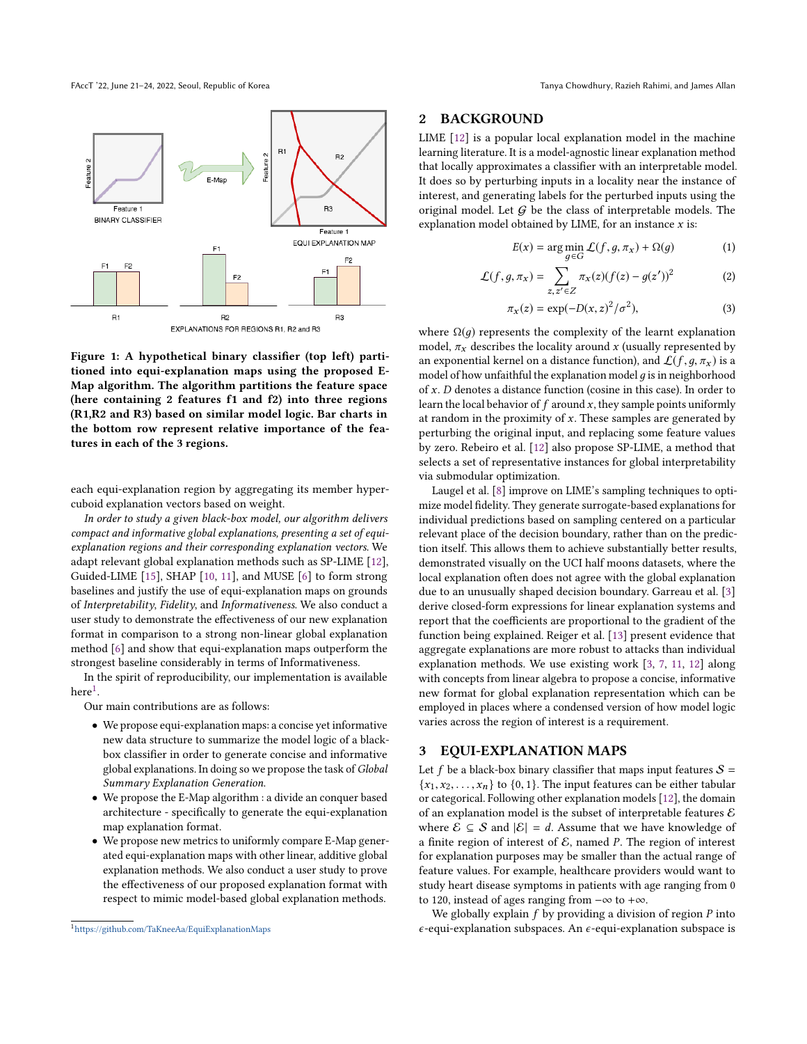FAccT '22, June 21-24, 2022, Seoul, Republic of Korea Tanya Chowdhury, Razieh Rahimi, and James Allan

<span id="page-1-0"></span>

Figure 1: A hypothetical binary classifier (top left) partitioned into equi-explanation maps using the proposed E-Map algorithm. The algorithm partitions the feature space (here containing 2 features f1 and f2) into three regions (R1,R2 and R3) based on similar model logic. Bar charts in the bottom row represent relative importance of the features in each of the 3 regions.

each equi-explanation region by aggregating its member hypercuboid explanation vectors based on weight.

In order to study a given black-box model, our algorithm delivers compact and informative global explanations, presenting a set of equiexplanation regions and their corresponding explanation vectors. We adapt relevant global explanation methods such as SP-LIME [\[12\]](#page-8-2), Guided-LIME [\[15\]](#page-8-3), SHAP [\[10,](#page-8-4) [11\]](#page-8-5), and MUSE [\[6\]](#page-8-1) to form strong baselines and justify the use of equi-explanation maps on grounds of Interpretability, Fidelity, and Informativeness. We also conduct a user study to demonstrate the effectiveness of our new explanation format in comparison to a strong non-linear global explanation method [\[6\]](#page-8-1) and show that equi-explanation maps outperform the strongest baseline considerably in terms of Informativeness.

In the spirit of reproducibility, our implementation is available  $here<sup>1</sup>$  $here<sup>1</sup>$  $here<sup>1</sup>$ .

Our main contributions are as follows:

- We propose equi-explanation maps: a concise yet informative new data structure to summarize the model logic of a blackbox classifier in order to generate concise and informative global explanations. In doing so we propose the task of Global Summary Explanation Generation.
- We propose the E-Map algorithm : a divide an conquer based architecture - specifically to generate the equi-explanation map explanation format.
- We propose new metrics to uniformly compare E-Map generated equi-explanation maps with other linear, additive global explanation methods. We also conduct a user study to prove the effectiveness of our proposed explanation format with respect to mimic model-based global explanation methods.

# 2 BACKGROUND

LIME [\[12\]](#page-8-2) is a popular local explanation model in the machine learning literature. It is a model-agnostic linear explanation method that locally approximates a classifier with an interpretable model. It does so by perturbing inputs in a locality near the instance of interest, and generating labels for the perturbed inputs using the original model. Let  $G$  be the class of interpretable models. The explanation model obtained by LIME, for an instance  $x$  is:

<span id="page-1-3"></span><span id="page-1-2"></span>
$$
E(x) = \arg\min_{g \in G} \mathcal{L}(f, g, \pi_x) + \Omega(g) \tag{1}
$$

$$
\mathcal{L}(f,g,\pi_x) = \sum_{z,z' \in Z} \pi_x(z)(f(z) - g(z'))^2 \tag{2}
$$

$$
\pi_x(z) = \exp(-D(x, z)^2 / \sigma^2),
$$
 (3)

where  $\Omega(g)$  represents the complexity of the learnt explanation model,  $\pi_x$  describes the locality around x (usually represented by an exponential kernel on a distance function), and  $\mathcal{L}(f,g,\pi_x)$  is a model of how unfaithful the explanation model  $q$  is in neighborhood of x. D denotes a distance function (cosine in this case). In order to learn the local behavior of  $f$  around  $x$ , they sample points uniformly at random in the proximity of  $x$ . These samples are generated by perturbing the original input, and replacing some feature values by zero. Rebeiro et al. [\[12\]](#page-8-2) also propose SP-LIME, a method that selects a set of representative instances for global interpretability via submodular optimization.

Laugel et al. [\[8\]](#page-8-6) improve on LIME's sampling techniques to optimize model fidelity. They generate surrogate-based explanations for individual predictions based on sampling centered on a particular relevant place of the decision boundary, rather than on the prediction itself. This allows them to achieve substantially better results, demonstrated visually on the UCI half moons datasets, where the local explanation often does not agree with the global explanation due to an unusually shaped decision boundary. Garreau et al. [\[3\]](#page-8-7) derive closed-form expressions for linear explanation systems and report that the coefficients are proportional to the gradient of the function being explained. Reiger et al. [\[13\]](#page-8-8) present evidence that aggregate explanations are more robust to attacks than individual explanation methods. We use existing work [\[3,](#page-8-7) [7,](#page-8-9) [11,](#page-8-5) [12\]](#page-8-2) along with concepts from linear algebra to propose a concise, informative new format for global explanation representation which can be employed in places where a condensed version of how model logic varies across the region of interest is a requirement.

## 3 EQUI-EXPLANATION MAPS

Let f be a black-box binary classifier that maps input features  $S =$  ${x_1, x_2, \ldots, x_n}$  to {0, 1}. The input features can be either tabular or categorical. Following other explanation models [\[12\]](#page-8-2), the domain of an explanation model is the subset of interpretable features  $\mathcal E$ where  $\mathcal{E} \subseteq \mathcal{S}$  and  $|\mathcal{E}| = d$ . Assume that we have knowledge of a finite region of interest of  $\mathcal{E}$ , named P. The region of interest for explanation purposes may be smaller than the actual range of feature values. For example, healthcare providers would want to study heart disease symptoms in patients with age ranging from 0 to 120, instead of ages ranging from −∞ to +∞.

We globally explain  $f$  by providing a division of region  $P$  into  $\epsilon$ -equi-explanation subspaces. An  $\epsilon$ -equi-explanation subspace is

<span id="page-1-1"></span><sup>1</sup><https://github.com/TaKneeAa/EquiExplanationMaps>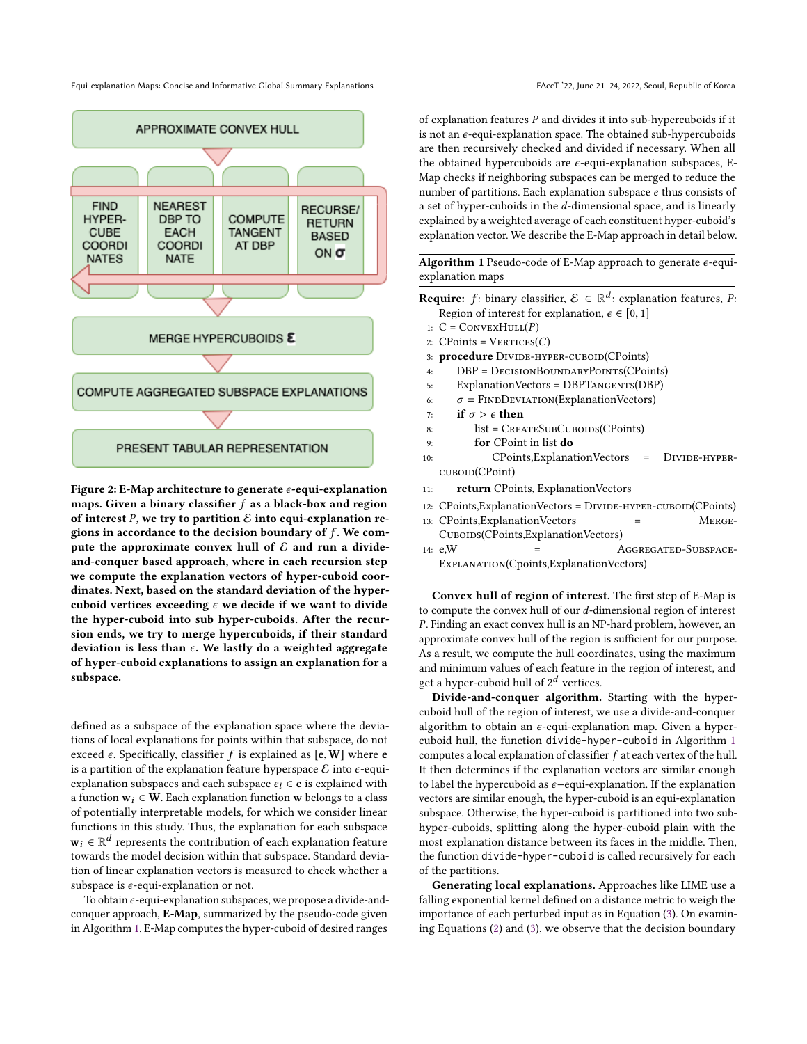Equi-explanation Maps: Concise and Informative Global Summary Explanations FACCT '22, June 21-24, 2022, Seoul, Republic of Korea



Figure 2: E-Map architecture to generate  $\epsilon$ -equi-explanation maps. Given a binary classifier  $f$  as a black-box and region of interest P, we try to partition  $\mathcal E$  into equi-explanation regions in accordance to the decision boundary of  $f$ . We compute the approximate convex hull of  $\mathcal E$  and run a divideand-conquer based approach, where in each recursion step we compute the explanation vectors of hyper-cuboid coordinates. Next, based on the standard deviation of the hypercuboid vertices exceeding  $\epsilon$  we decide if we want to divide the hyper-cuboid into sub hyper-cuboids. After the recursion ends, we try to merge hypercuboids, if their standard deviation is less than  $\epsilon$ . We lastly do a weighted aggregate of hyper-cuboid explanations to assign an explanation for a subspace.

defined as a subspace of the explanation space where the deviations of local explanations for points within that subspace, do not exceed  $\epsilon$ . Specifically, classifier f is explained as  $[\epsilon, W]$  where  $\epsilon$ is a partition of the explanation feature hyperspace  $\mathcal E$  into  $\epsilon$ -equiexplanation subspaces and each subspace  $e_i \in e$  is explained with a function  $w_i \in W$ . Each explanation function w belongs to a class of potentially interpretable models, for which we consider linear functions in this study. Thus, the explanation for each subspace  $\mathbf{w}_i \in \mathbb{R}^d$  represents the contribution of each explanation feature towards the model decision within that subspace. Standard deviation of linear explanation vectors is measured to check whether a subspace is  $\epsilon$ -equi-explanation or not.

To obtain  $\epsilon$ -equi-explanation subspaces, we propose a divide-andconquer approach, E-Map, summarized by the pseudo-code given in Algorithm [1.](#page-2-0) E-Map computes the hyper-cuboid of desired ranges

of explanation features  $P$  and divides it into sub-hypercuboids if it is not an  $\epsilon$ -equi-explanation space. The obtained sub-hypercuboids are then recursively checked and divided if necessary. When all the obtained hypercuboids are  $\epsilon$ -equi-explanation subspaces, E-Map checks if neighboring subspaces can be merged to reduce the number of partitions. Each explanation subspace e thus consists of a set of hyper-cuboids in the d-dimensional space, and is linearly explained by a weighted average of each constituent hyper-cuboid's explanation vector. We describe the E-Map approach in detail below.

<span id="page-2-0"></span>Algorithm 1 Pseudo-code of E-Map approach to generate  $\epsilon$ -equiexplanation maps

**Require:** f: binary classifier,  $\mathcal{E} \in \mathbb{R}^d$ : explanation features, *P*:<br>Pegion of interest for explanation  $\zeta \in [0, 1]$ Region of interest for explanation,  $\epsilon \in [0, 1]$ 

- 1:  $C = \text{ConvexHull}(P)$
- 2:  $CPoints = VERTICES(C)$
- 3: procedure DIVIDE-HYPER-CUBOID(CPoints)
- 4: DBP = DecisionBoundaryPoints(CPoints)
- 5: ExplanationVectors = DBPTANGENTS(DBP)
- 6:  $\sigma = \text{FINDEVIATION}(\text{ExplanationVectors})$ <br>7: **if**  $\sigma > \epsilon$  **then**
- 7: **if**  $\sigma > \epsilon$  **then**<br>8: **list** = CREA
	- list = CREATESUBCUBOIDS(CPoints)
- 9: for CPoint in list do
- 10: CPoints,ExplanationVectors = DIVIDE-HYPERcuboid(CPoint)
- 11: return CPoints, ExplanationVectors
- 12: CPoints, Explanation Vectors = DIVIDE-HYPER-CUBOID(CPoints)
- 13: CPoints, Explanation Vectors = MERGE-Cuboids(CPoints,ExplanationVectors)
- $14: e, W$  =  $AGGREGATED-SUBSPACE$ Explanation(Cpoints,ExplanationVectors)

Convex hull of region of interest. The first step of E-Map is to compute the convex hull of our d-dimensional region of interest P. Finding an exact convex hull is an NP-hard problem, however, an approximate convex hull of the region is sufficient for our purpose. As a result, we compute the hull coordinates, using the maximum and minimum values of each feature in the region of interest, and get a hyper-cuboid hull of  $2^d$  vertices.

Divide-and-conquer algorithm. Starting with the hypercuboid hull of the region of interest, we use a divide-and-conquer algorithm to obtain an  $\epsilon$ -equi-explanation map. Given a hypercuboid hull, the function divide-hyper-cuboid in Algorithm [1](#page-2-0) computes a local explanation of classifier  $f$  at each vertex of the hull. It then determines if the explanation vectors are similar enough to label the hypercuboid as ϵ−equi-explanation. If the explanation vectors are similar enough, the hyper-cuboid is an equi-explanation subspace. Otherwise, the hyper-cuboid is partitioned into two subhyper-cuboids, splitting along the hyper-cuboid plain with the most explanation distance between its faces in the middle. Then, the function divide-hyper-cuboid is called recursively for each of the partitions.

Generating local explanations. Approaches like LIME use a falling exponential kernel defined on a distance metric to weigh the importance of each perturbed input as in Equation [\(3\)](#page-1-2). On examining Equations [\(2\)](#page-1-3) and [\(3\)](#page-1-2), we observe that the decision boundary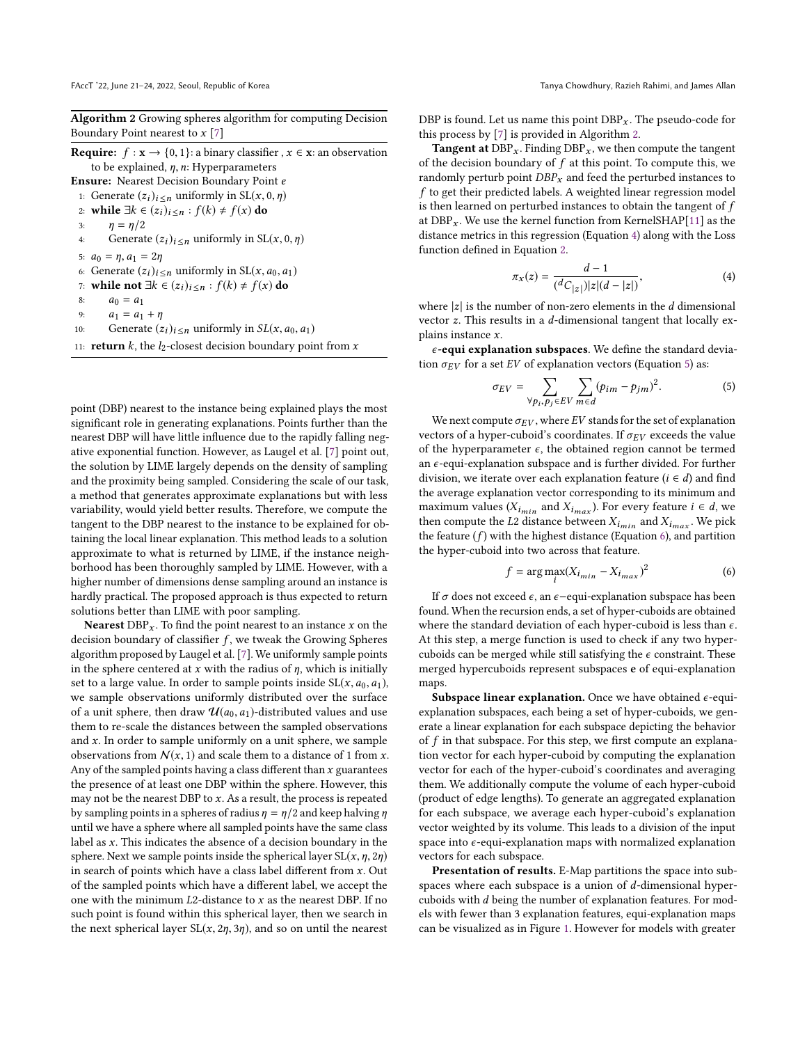<span id="page-3-0"></span>Algorithm 2 Growing spheres algorithm for computing Decision Boundary Point nearest to  $x$  [\[7\]](#page-8-9)

**Require:**  $f : \mathbf{x} \to \{0, 1\}$ : a binary classifier ,  $x \in \mathbf{x}$ : an observation to be explained,  $\eta$ ,  $n$ : Hyperparameters Ensure: Nearest Decision Boundary Point e

- 1: Generate  $(z_i)_{i \leq n}$  uniformly in  $SL(x, 0, \eta)$
- 2: while  $\exists k \in (z_i)_{i \leq n} : f(k) \neq f(x)$  do 3:  $\eta = \eta/2$
- 3:  $\eta = \eta/2$ <br>4: Generat
- Generate  $(z_i)_{i \leq n}$  uniformly in SL $(x, 0, \eta)$

5: 
$$
a_0 = \eta, a_1 = 2\eta
$$
  
6. Generate  $(\tau_1)$ .

- 6: Generate  $(z_i)_{i \le n}$  uniformly in  $SL(x, a_0, a_1)$ <br>7. while not  $\exists k \in (z_1)_{k \le n}$  if  $(k) \ne f(x)$  do
- 7: while not ∃ $k \in (z_i)_{i \leq n} : f(k) \neq f(x)$  do 8:  $a_0 = a_1$
- 8:  $a_0 = a_1$ <br>9:  $a_1 = a_1$
- 9:  $a_1 = a_1 + \eta$ <br>10: Generate (2)
- Generate  $(z_i)_{i \le n}$  uniformly in  $SL(x, a_0, a_1)$
- 11: **return** k, the  $l_2$ -closest decision boundary point from x

point (DBP) nearest to the instance being explained plays the most significant role in generating explanations. Points further than the nearest DBP will have little influence due to the rapidly falling negative exponential function. However, as Laugel et al. [\[7\]](#page-8-9) point out, the solution by LIME largely depends on the density of sampling and the proximity being sampled. Considering the scale of our task, a method that generates approximate explanations but with less variability, would yield better results. Therefore, we compute the tangent to the DBP nearest to the instance to be explained for obtaining the local linear explanation. This method leads to a solution approximate to what is returned by LIME, if the instance neighborhood has been thoroughly sampled by LIME. However, with a higher number of dimensions dense sampling around an instance is hardly practical. The proposed approach is thus expected to return solutions better than LIME with poor sampling.

**Nearest**  $DBP_x$ . To find the point nearest to an instance x on the decision boundary of classifier  $f$ , we tweak the Growing Spheres algorithm proposed by Laugel et al. [\[7\]](#page-8-9). We uniformly sample points in the sphere centered at x with the radius of  $\eta$ , which is initially set to a large value. In order to sample points inside  $SL(x, a_0, a_1)$ , we sample observations uniformly distributed over the surface of a unit sphere, then draw  $\mathcal{U}(a_0, a_1)$ -distributed values and use them to re-scale the distances between the sampled observations and  $x$ . In order to sample uniformly on a unit sphere, we sample observations from  $N(x, 1)$  and scale them to a distance of 1 from x. Any of the sampled points having a class different than  $x$  guarantees the presence of at least one DBP within the sphere. However, this may not be the nearest DBP to  $x$ . As a result, the process is repeated by sampling points in a spheres of radius  $\eta = \eta/2$  and keep halving  $\eta$ until we have a sphere where all sampled points have the same class label as  $x$ . This indicates the absence of a decision boundary in the sphere. Next we sample points inside the spherical layer  $SL(x, \eta, 2\eta)$ in search of points which have a class label different from  $x$ . Out of the sampled points which have a different label, we accept the one with the minimum  $L2$ -distance to  $x$  as the nearest DBP. If no such point is found within this spherical layer, then we search in the next spherical layer  $SL(x, 2\eta, 3\eta)$ , and so on until the nearest

DBP is found. Let us name this point  $DBP_x$ . The pseudo-code for this process by [\[7\]](#page-8-9) is provided in Algorithm [2.](#page-3-0)

**Tangent at**  $DBP_x$ . Finding  $DBP_x$ , we then compute the tangent of the decision boundary of  $f$  at this point. To compute this, we randomly perturb point  $DBP_x$  and feed the perturbed instances to f to get their predicted labels. A weighted linear regression model is then learned on perturbed instances to obtain the tangent of  $\boldsymbol{f}$ at  $DBP_x$ . We use the kernel function from KernelSHAP[\[11\]](#page-8-5) as the distance metrics in this regression (Equation [4\)](#page-3-1) along with the Loss function defined in Equation [2.](#page-1-3)

<span id="page-3-1"></span>
$$
\pi_X(z) = \frac{d-1}{(dC_{|z|})|z|(d-|z|)},\tag{4}
$$

where  $|z|$  is the number of non-zero elements in the *d* dimensional<br>vector  $z$ . This results in a *d*-dimensional tangent that locally exvector z. This results in a d-dimensional tangent that locally explains instance x.

 $\epsilon$ -equi explanation subspaces. We define the standard deviation  $\sigma_{EV}$  for a set EV of explanation vectors (Equation [5\)](#page-3-2) as:

<span id="page-3-2"></span>
$$
\sigma_{EV} = \sum_{\forall p_i, p_j \in EV} \sum_{m \in d} (p_{im} - p_{jm})^2.
$$
 (5)

We next compute  $\sigma_{EV}$ , where EV stands for the set of explanation vectors of a hyper-cuboid's coordinates. If  $\sigma_{EV}$  exceeds the value of the hyperparameter  $\epsilon$ , the obtained region cannot be termed an  $\epsilon$ -equi-explanation subspace and is further divided. For further division, we iterate over each explanation feature ( $i \in d$ ) and find the average explanation vector corresponding to its minimum and maximum values  $(X_{i_{min}} \text{ and } X_{i_{max}})$ . For every feature  $i \in d$ , we then compute the *I* 2 distance between *X* and *X*. We pick then compute the L2 distance between  $X_{i_{min}}$  and  $X_{i_{max}}$ . We pick<br>the feature (f) with the bighest distance (Equation 6) and partition the feature  $(f)$  with the highest distance (Equation [6\)](#page-3-3), and partition the hyper-cuboid into two across that feature.

<span id="page-3-3"></span>
$$
f = \arg \max_{i} (X_{i_{min}} - X_{i_{max}})^2
$$
 (6)

If  $\sigma$  does not exceed  $\epsilon$ , an  $\epsilon$ -equi-explanation subspace has been found. When the recursion ends, a set of hyper-cuboids are obtained where the standard deviation of each hyper-cuboid is less than  $\epsilon$ . At this step, a merge function is used to check if any two hypercuboids can be merged while still satisfying the  $\epsilon$  constraint. These merged hypercuboids represent subspaces e of equi-explanation maps.

Subspace linear explanation. Once we have obtained  $\epsilon$ -equiexplanation subspaces, each being a set of hyper-cuboids, we generate a linear explanation for each subspace depicting the behavior of  $f$  in that subspace. For this step, we first compute an explanation vector for each hyper-cuboid by computing the explanation vector for each of the hyper-cuboid's coordinates and averaging them. We additionally compute the volume of each hyper-cuboid (product of edge lengths). To generate an aggregated explanation for each subspace, we average each hyper-cuboid's explanation vector weighted by its volume. This leads to a division of the input space into  $\epsilon$ -equi-explanation maps with normalized explanation vectors for each subspace.

Presentation of results. E-Map partitions the space into subspaces where each subspace is a union of d-dimensional hypercuboids with d being the number of explanation features. For models with fewer than 3 explanation features, equi-explanation maps can be visualized as in Figure [1.](#page-1-0) However for models with greater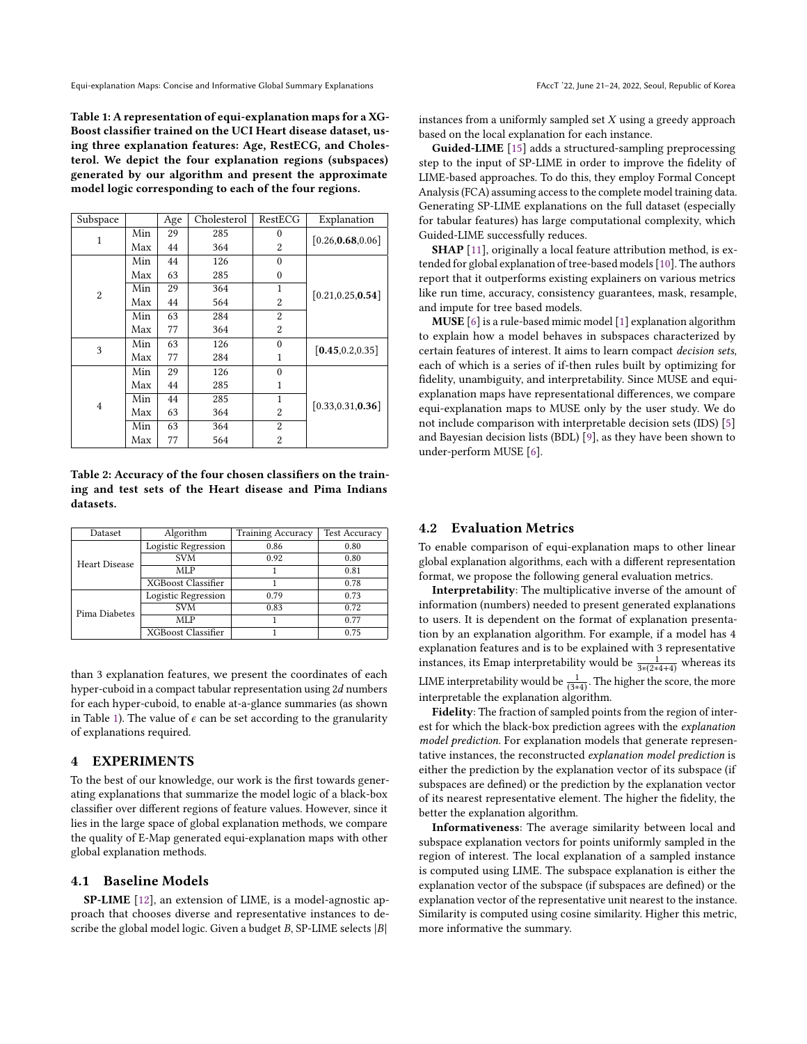Equi-explanation Maps: Concise and Informative Global Summary Explanations FACCT '22, June 21-24, 2022, Seoul, Republic of Korea

<span id="page-4-0"></span>Table 1: A representation of equi-explanation maps for a XG-Boost classifier trained on the UCI Heart disease dataset, using three explanation features: Age, RestECG, and Cholesterol. We depict the four explanation regions (subspaces) generated by our algorithm and present the approximate model logic corresponding to each of the four regions.

| Subspace |     | Age | Cholesterol | RestECG  | Explanation        |  |
|----------|-----|-----|-------------|----------|--------------------|--|
| 1        | Min | 29  | 285         | $\theta$ | [0.26, 0.68, 0.06] |  |
|          | Max | 44  | 364         | 2        |                    |  |
|          | Min | 44  | 126         | $\theta$ |                    |  |
| 2        | Max | 63  | 285         | 0        |                    |  |
|          | Min | 29  | 364         | 1        | [0.21, 0.25, 0.54] |  |
|          | Max | 44  | 564         | 2        |                    |  |
|          | Min | 63  | 284         | 2        |                    |  |
|          | Max | 77  | 364         | 2        |                    |  |
| 3        | Min | 63  | 126         | $\theta$ |                    |  |
|          | Max | 77  | 284         | 1        | [0.45, 0.2, 0.35]  |  |
| 4        | Min | 29  | 126         | $\theta$ |                    |  |
|          | Max | 44  | 285         | 1        |                    |  |
|          | Min | 44  | 285         |          | [0.33, 0.31, 0.36] |  |
|          | Max | 63  | 364         | 2        |                    |  |
|          | Min | 63  | 364         | 2        |                    |  |
|          | Max | 77  | 564         | 2        |                    |  |

<span id="page-4-1"></span>Table 2: Accuracy of the four chosen classifiers on the training and test sets of the Heart disease and Pima Indians datasets.

| Dataset       | Algorithm                 | <b>Training Accuracy</b> | <b>Test Accuracy</b> |  |
|---------------|---------------------------|--------------------------|----------------------|--|
|               | Logistic Regression       | 0.86                     | 0.80                 |  |
| Heart Disease | <b>SVM</b>                | 0.92                     | 0.80                 |  |
|               | MLP                       |                          | 0.81                 |  |
|               | <b>XGBoost Classifier</b> |                          | 0.78                 |  |
| Pima Diabetes | Logistic Regression       | 0.79                     | 0.73                 |  |
|               | <b>SVM</b>                | 0.83                     | 0.72                 |  |
|               | MLP                       |                          | 0.77                 |  |
|               | <b>XGBoost Classifier</b> |                          | 0.75                 |  |

than 3 explanation features, we present the coordinates of each hyper-cuboid in a compact tabular representation using <sup>2</sup>d numbers for each hyper-cuboid, to enable at-a-glance summaries (as shown in Table [1\)](#page-4-0). The value of  $\epsilon$  can be set according to the granularity of explanations required.

#### 4 EXPERIMENTS

To the best of our knowledge, our work is the first towards generating explanations that summarize the model logic of a black-box classifier over different regions of feature values. However, since it lies in the large space of global explanation methods, we compare the quality of E-Map generated equi-explanation maps with other global explanation methods.

## 4.1 Baseline Models

SP-LIME [\[12\]](#page-8-2), an extension of LIME, is a model-agnostic approach that chooses diverse and representative instances to describe the global model logic. Given a budget  $B$ , SP-LIME selects  $|B|$ 

instances from a uniformly sampled set  $X$  using a greedy approach based on the local explanation for each instance.

Guided-LIME [\[15\]](#page-8-3) adds a structured-sampling preprocessing step to the input of SP-LIME in order to improve the fidelity of LIME-based approaches. To do this, they employ Formal Concept Analysis (FCA) assuming access to the complete model training data. Generating SP-LIME explanations on the full dataset (especially for tabular features) has large computational complexity, which Guided-LIME successfully reduces.

SHAP [\[11\]](#page-8-5), originally a local feature attribution method, is extended for global explanation of tree-based models [\[10\]](#page-8-4). The authors report that it outperforms existing explainers on various metrics like run time, accuracy, consistency guarantees, mask, resample, and impute for tree based models.

MUSE [\[6\]](#page-8-1) is a rule-based mimic model [\[1\]](#page-7-0) explanation algorithm to explain how a model behaves in subspaces characterized by certain features of interest. It aims to learn compact decision sets, each of which is a series of if-then rules built by optimizing for fidelity, unambiguity, and interpretability. Since MUSE and equiexplanation maps have representational differences, we compare equi-explanation maps to MUSE only by the user study. We do not include comparison with interpretable decision sets (IDS) [\[5\]](#page-8-10) and Bayesian decision lists (BDL) [\[9\]](#page-8-11), as they have been shown to under-perform MUSE [\[6\]](#page-8-1).

#### 4.2 Evaluation Metrics

To enable comparison of equi-explanation maps to other linear global explanation algorithms, each with a different representation format, we propose the following general evaluation metrics.

Interpretability: The multiplicative inverse of the amount of information (numbers) needed to present generated explanations to users. It is dependent on the format of explanation presentation by an explanation algorithm. For example, if a model has 4 explanation features and is to be explained with 3 representative instances, its Emap interpretability would be  $\frac{1}{3*(2*(4+4))}$  whereas its LIME interpretability would be  $\frac{1}{(3*4)}$ . The higher the score, the more interpretable the explanation algorithm.

Fidelity: The fraction of sampled points from the region of interest for which the black-box prediction agrees with the explanation model prediction. For explanation models that generate representative instances, the reconstructed explanation model prediction is either the prediction by the explanation vector of its subspace (if subspaces are defined) or the prediction by the explanation vector of its nearest representative element. The higher the fidelity, the better the explanation algorithm.

Informativeness: The average similarity between local and subspace explanation vectors for points uniformly sampled in the region of interest. The local explanation of a sampled instance is computed using LIME. The subspace explanation is either the explanation vector of the subspace (if subspaces are defined) or the explanation vector of the representative unit nearest to the instance. Similarity is computed using cosine similarity. Higher this metric, more informative the summary.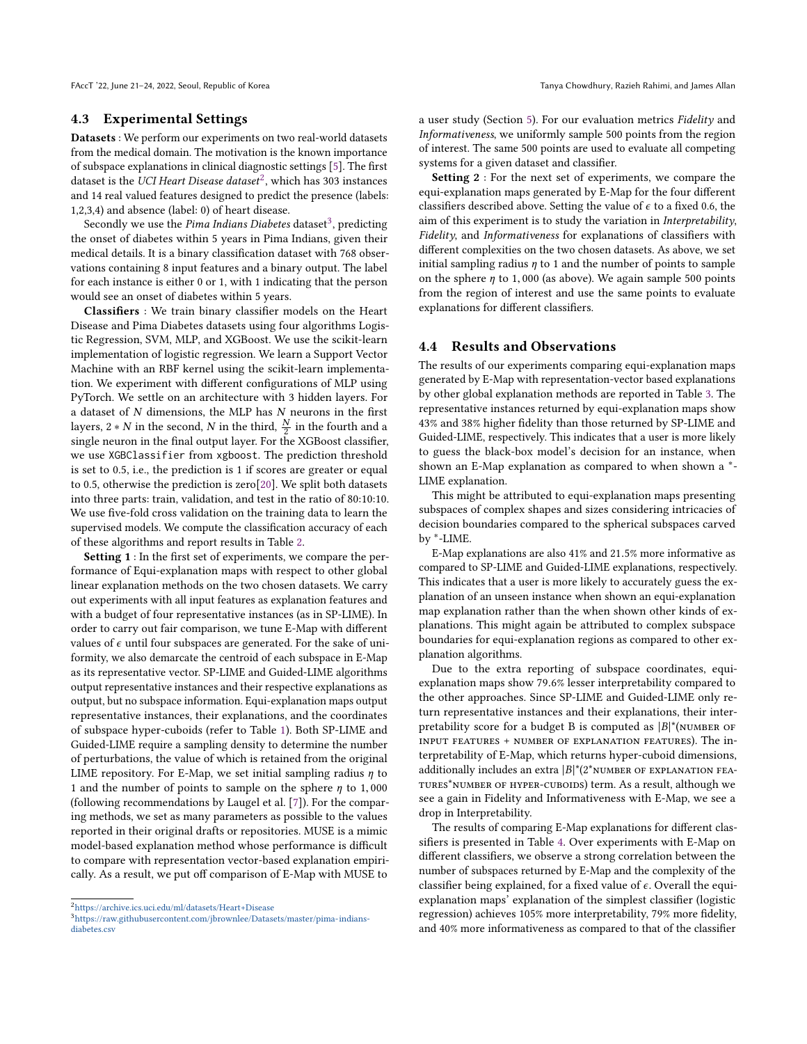FAccT '22, June 21-24, 2022, Seoul, Republic of Korea Tanya Chowdhury, Razieh Rahimi, and James Allan

## 4.3 Experimental Settings

Datasets : We perform our experiments on two real-world datasets from the medical domain. The motivation is the known importance of subspace explanations in clinical diagnostic settings [\[5\]](#page-8-10). The first dataset is the UCI Heart Disease dataset<sup>[2](#page-5-0)</sup>, which has 303 instances and 14 real valued features designed to predict the presence (labels: 1,2,3,4) and absence (label: 0) of heart disease.

Secondly we use the Pima Indians Diabetes dataset<sup>[3](#page-5-1)</sup>, predicting the onset of diabetes within 5 years in Pima Indians, given their medical details. It is a binary classification dataset with 768 observations containing 8 input features and a binary output. The label for each instance is either 0 or 1, with 1 indicating that the person would see an onset of diabetes within 5 years.

Classifiers : We train binary classifier models on the Heart Disease and Pima Diabetes datasets using four algorithms Logistic Regression, SVM, MLP, and XGBoost. We use the scikit-learn implementation of logistic regression. We learn a Support Vector Machine with an RBF kernel using the scikit-learn implementation. We experiment with different configurations of MLP using PyTorch. We settle on an architecture with 3 hidden layers. For a dataset of  $N$  dimensions, the MLP has  $N$  neurons in the first layers, 2 ∗ N in the second, N in the third,  $\frac{N}{2}$  in the fourth and a single neuron in the final output layer. For the XGBoost classifier single neuron in the final output layer. For the XGBoost classifier, we use XGBClassifier from xgboost. The prediction threshold is set to 0.5, i.e., the prediction is 1 if scores are greater or equal to 0.5, otherwise the prediction is zero[\[20\]](#page-8-12). We split both datasets into three parts: train, validation, and test in the ratio of 80:10:10. We use five-fold cross validation on the training data to learn the supervised models. We compute the classification accuracy of each of these algorithms and report results in Table [2.](#page-4-1)

Setting 1 : In the first set of experiments, we compare the performance of Equi-explanation maps with respect to other global linear explanation methods on the two chosen datasets. We carry out experiments with all input features as explanation features and with a budget of four representative instances (as in SP-LIME). In order to carry out fair comparison, we tune E-Map with different values of  $\epsilon$  until four subspaces are generated. For the sake of uniformity, we also demarcate the centroid of each subspace in E-Map as its representative vector. SP-LIME and Guided-LIME algorithms output representative instances and their respective explanations as output, but no subspace information. Equi-explanation maps output representative instances, their explanations, and the coordinates of subspace hyper-cuboids (refer to Table [1\)](#page-4-0). Both SP-LIME and Guided-LIME require a sampling density to determine the number of perturbations, the value of which is retained from the original LIME repository. For E-Map, we set initial sampling radius  $\eta$  to 1 and the number of points to sample on the sphere  $\eta$  to 1,000 (following recommendations by Laugel et al. [\[7\]](#page-8-9)). For the comparing methods, we set as many parameters as possible to the values reported in their original drafts or repositories. MUSE is a mimic model-based explanation method whose performance is difficult to compare with representation vector-based explanation empirically. As a result, we put off comparison of E-Map with MUSE to

a user study (Section [5\)](#page-6-0). For our evaluation metrics Fidelity and Informativeness, we uniformly sample 500 points from the region of interest. The same 500 points are used to evaluate all competing systems for a given dataset and classifier.

Setting 2 : For the next set of experiments, we compare the equi-explanation maps generated by E-Map for the four different classifiers described above. Setting the value of  $\epsilon$  to a fixed 0.6, the aim of this experiment is to study the variation in Interpretability, Fidelity, and Informativeness for explanations of classifiers with different complexities on the two chosen datasets. As above, we set initial sampling radius  $\eta$  to 1 and the number of points to sample on the sphere  $\eta$  to 1,000 (as above). We again sample 500 points from the region of interest and use the same points to evaluate explanations for different classifiers.

## 4.4 Results and Observations

The results of our experiments comparing equi-explanation maps generated by E-Map with representation-vector based explanations by other global explanation methods are reported in Table [3.](#page-6-1) The representative instances returned by equi-explanation maps show 43% and 38% higher fidelity than those returned by SP-LIME and Guided-LIME, respectively. This indicates that a user is more likely to guess the black-box model's decision for an instance, when shown an E-Map explanation as compared to when shown a <sup>\*</sup>-LIME explanation.

This might be attributed to equi-explanation maps presenting subspaces of complex shapes and sizes considering intricacies of decision boundaries compared to the spherical subspaces carved by ∗ -LIME.

E-Map explanations are also 41% and <sup>21</sup>.5% more informative as compared to SP-LIME and Guided-LIME explanations, respectively. This indicates that a user is more likely to accurately guess the explanation of an unseen instance when shown an equi-explanation map explanation rather than the when shown other kinds of explanations. This might again be attributed to complex subspace boundaries for equi-explanation regions as compared to other explanation algorithms.

Due to the extra reporting of subspace coordinates, equiexplanation maps show <sup>79</sup>.6% lesser interpretability compared to the other approaches. Since SP-LIME and Guided-LIME only return representative instances and their explanations, their interpretability score for a budget B is computed as  $|B|^*$ (NUMBER OF input features + number of explanation features). The interpretability of E-Map, which returns hyper-cuboid dimensions, additionally includes an extra  $|B|^*(2^*$ NUMBER OF EXPLANATION FEAtures\*number of hyper-cuboids) term. As a result, although we see a gain in Fidelity and Informativeness with E-Map, we see a drop in Interpretability.

The results of comparing E-Map explanations for different classifiers is presented in Table [4.](#page-6-2) Over experiments with E-Map on different classifiers, we observe a strong correlation between the number of subspaces returned by E-Map and the complexity of the classifier being explained, for a fixed value of  $\epsilon$ . Overall the equiexplanation maps' explanation of the simplest classifier (logistic regression) achieves 105% more interpretability, 79% more fidelity, and 40% more informativeness as compared to that of the classifier

<span id="page-5-0"></span> $^2$ <https://archive.ics.uci.edu/ml/datasets/Heart+Disease>

<span id="page-5-1"></span><sup>3</sup>[https://raw.githubusercontent.com/jbrownlee/Datasets/master/pima-indians](https://raw.githubusercontent.com/jbrownlee/Datasets/master/pima-indians-diabetes.csv)[diabetes.csv](https://raw.githubusercontent.com/jbrownlee/Datasets/master/pima-indians-diabetes.csv)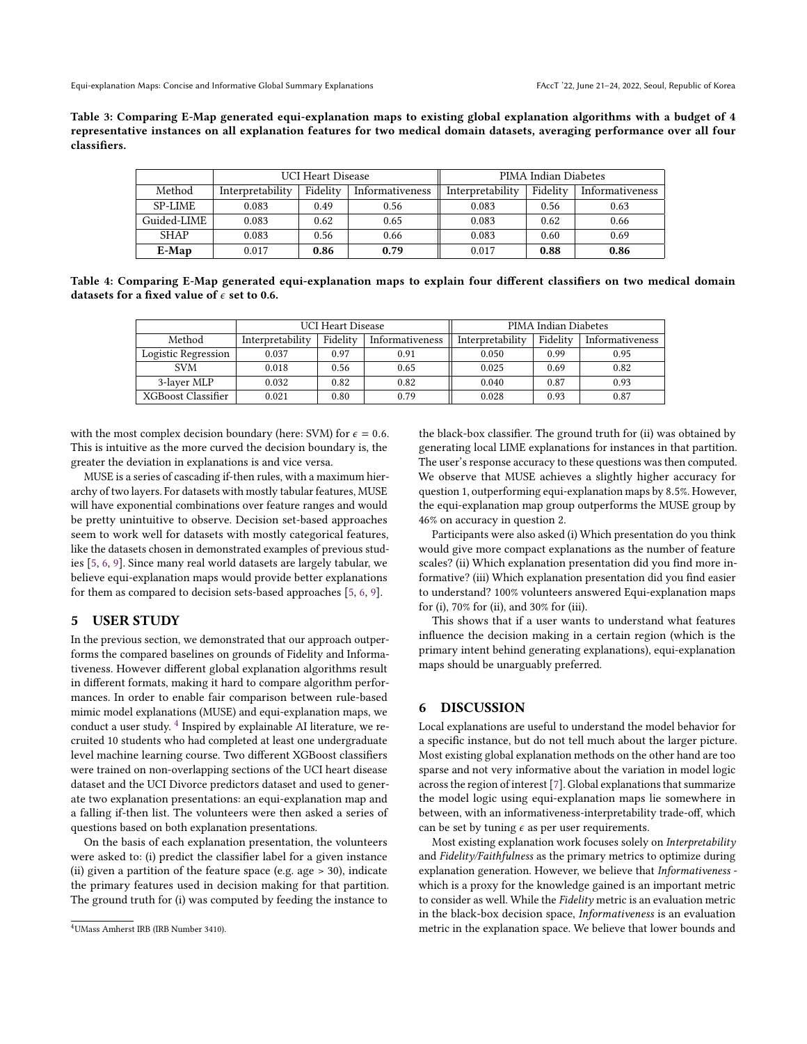<span id="page-6-1"></span>Table 3: Comparing E-Map generated equi-explanation maps to existing global explanation algorithms with a budget of 4 representative instances on all explanation features for two medical domain datasets, averaging performance over all four classifiers.

|                |                  | <b>UCI Heart Disease</b> |                 | PIMA Indian Diabetes |          |                 |
|----------------|------------------|--------------------------|-----------------|----------------------|----------|-----------------|
| Method         | Interpretability | Fidelity                 | Informativeness | Interpretability     | Fidelity | Informativeness |
| <b>SP-LIME</b> | 0.083            | 0.49                     | 0.56            | 0.083                | 0.56     | 0.63            |
| Guided-LIME    | 0.083            | 0.62                     | 0.65            | 0.083                | 0.62     | 0.66            |
| <b>SHAP</b>    | 0.083            | 0.56                     | 0.66            | 0.083                | 0.60     | 0.69            |
| $E-Map$        | 0.017            | 0.86                     | 0.79            | 0.017                | 0.88     | 0.86            |

<span id="page-6-2"></span>Table 4: Comparing E-Map generated equi-explanation maps to explain four different classifiers on two medical domain datasets for a fixed value of  $\epsilon$  set to 0.6.

|                     |                  | <b>UCI Heart Disease</b> |                 | PIMA Indian Diabetes |          |                 |
|---------------------|------------------|--------------------------|-----------------|----------------------|----------|-----------------|
| Method              | Interpretability | Fidelity                 | Informativeness | Interpretability     | Fidelity | Informativeness |
| Logistic Regression | 0.037            | 0.97                     | 0.91            | 0.050                | 0.99     | 0.95            |
| <b>SVM</b>          | 0.018            | 0.56                     | 0.65            | 0.025                | 0.69     | 0.82            |
| 3-laver MLP         | 0.032            | 0.82                     | 0.82            | 0.040                | 0.87     | 0.93            |
| XGBoost Classifier  | 0.021            | 0.80                     | 0.79            | 0.028                | 0.93     | 0.87            |

with the most complex decision boundary (here: SVM) for  $\epsilon = 0.6$ . This is intuitive as the more curved the decision boundary is, the greater the deviation in explanations is and vice versa.

MUSE is a series of cascading if-then rules, with a maximum hierarchy of two layers. For datasets with mostly tabular features, MUSE will have exponential combinations over feature ranges and would be pretty unintuitive to observe. Decision set-based approaches seem to work well for datasets with mostly categorical features, like the datasets chosen in demonstrated examples of previous studies [\[5,](#page-8-10) [6,](#page-8-1) [9\]](#page-8-11). Since many real world datasets are largely tabular, we believe equi-explanation maps would provide better explanations for them as compared to decision sets-based approaches [\[5,](#page-8-10) [6,](#page-8-1) [9\]](#page-8-11).

#### <span id="page-6-0"></span>5 USER STUDY

In the previous section, we demonstrated that our approach outperforms the compared baselines on grounds of Fidelity and Informativeness. However different global explanation algorithms result in different formats, making it hard to compare algorithm performances. In order to enable fair comparison between rule-based mimic model explanations (MUSE) and equi-explanation maps, we conduct a user study. [4](#page-6-3) Inspired by explainable AI literature, we recruited 10 students who had completed at least one undergraduate level machine learning course. Two different XGBoost classifiers were trained on non-overlapping sections of the UCI heart disease dataset and the UCI Divorce predictors dataset and used to generate two explanation presentations: an equi-explanation map and a falling if-then list. The volunteers were then asked a series of questions based on both explanation presentations.

On the basis of each explanation presentation, the volunteers were asked to: (i) predict the classifier label for a given instance (ii) given a partition of the feature space (e.g. age > 30), indicate the primary features used in decision making for that partition. The ground truth for (i) was computed by feeding the instance to

the black-box classifier. The ground truth for (ii) was obtained by generating local LIME explanations for instances in that partition. The user's response accuracy to these questions was then computed. We observe that MUSE achieves a slightly higher accuracy for question 1, outperforming equi-explanation maps by <sup>8</sup>.5%. However, the equi-explanation map group outperforms the MUSE group by 46% on accuracy in question 2.

Participants were also asked (i) Which presentation do you think would give more compact explanations as the number of feature scales? (ii) Which explanation presentation did you find more informative? (iii) Which explanation presentation did you find easier to understand? 100% volunteers answered Equi-explanation maps for (i), 70% for (ii), and 30% for (iii).

This shows that if a user wants to understand what features influence the decision making in a certain region (which is the primary intent behind generating explanations), equi-explanation maps should be unarguably preferred.

## 6 DISCUSSION

Local explanations are useful to understand the model behavior for a specific instance, but do not tell much about the larger picture. Most existing global explanation methods on the other hand are too sparse and not very informative about the variation in model logic across the region of interest [\[7\]](#page-8-9). Global explanations that summarize the model logic using equi-explanation maps lie somewhere in between, with an informativeness-interpretability trade-off, which can be set by tuning  $\epsilon$  as per user requirements.

Most existing explanation work focuses solely on Interpretability and Fidelity/Faithfulness as the primary metrics to optimize during explanation generation. However, we believe that Informativeness which is a proxy for the knowledge gained is an important metric to consider as well. While the Fidelity metric is an evaluation metric in the black-box decision space, Informativeness is an evaluation metric in the explanation space. We believe that lower bounds and

<span id="page-6-3"></span><sup>4</sup>UMass Amherst IRB (IRB Number 3410).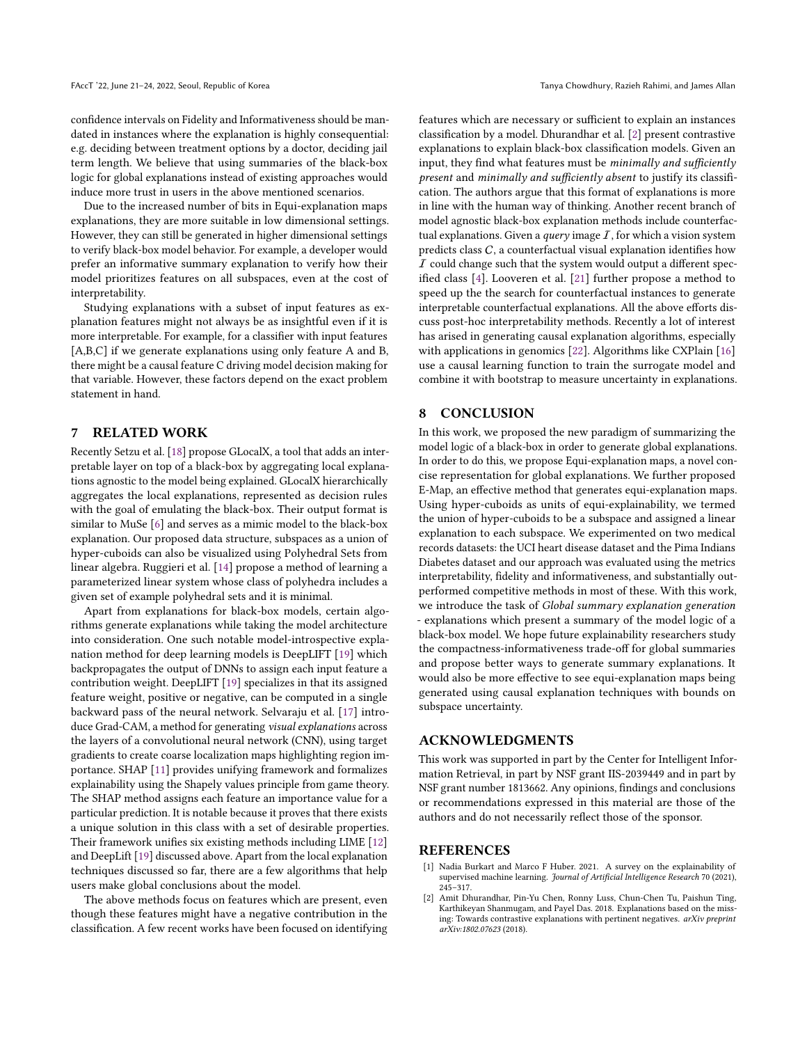confidence intervals on Fidelity and Informativeness should be mandated in instances where the explanation is highly consequential: e.g. deciding between treatment options by a doctor, deciding jail term length. We believe that using summaries of the black-box logic for global explanations instead of existing approaches would induce more trust in users in the above mentioned scenarios.

Due to the increased number of bits in Equi-explanation maps explanations, they are more suitable in low dimensional settings. However, they can still be generated in higher dimensional settings to verify black-box model behavior. For example, a developer would prefer an informative summary explanation to verify how their model prioritizes features on all subspaces, even at the cost of interpretability.

Studying explanations with a subset of input features as explanation features might not always be as insightful even if it is more interpretable. For example, for a classifier with input features [A,B,C] if we generate explanations using only feature A and B, there might be a causal feature C driving model decision making for that variable. However, these factors depend on the exact problem statement in hand.

## 7 RELATED WORK

Recently Setzu et al. [\[18\]](#page-8-13) propose GLocalX, a tool that adds an interpretable layer on top of a black-box by aggregating local explanations agnostic to the model being explained. GLocalX hierarchically aggregates the local explanations, represented as decision rules with the goal of emulating the black-box. Their output format is similar to MuSe [\[6\]](#page-8-1) and serves as a mimic model to the black-box explanation. Our proposed data structure, subspaces as a union of hyper-cuboids can also be visualized using Polyhedral Sets from linear algebra. Ruggieri et al. [\[14\]](#page-8-14) propose a method of learning a parameterized linear system whose class of polyhedra includes a given set of example polyhedral sets and it is minimal.

Apart from explanations for black-box models, certain algorithms generate explanations while taking the model architecture into consideration. One such notable model-introspective explanation method for deep learning models is DeepLIFT [\[19\]](#page-8-15) which backpropagates the output of DNNs to assign each input feature a contribution weight. DeepLIFT [\[19\]](#page-8-15) specializes in that its assigned feature weight, positive or negative, can be computed in a single backward pass of the neural network. Selvaraju et al. [\[17\]](#page-8-16) introduce Grad-CAM, a method for generating visual explanations across the layers of a convolutional neural network (CNN), using target gradients to create coarse localization maps highlighting region importance. SHAP [\[11\]](#page-8-5) provides unifying framework and formalizes explainability using the Shapely values principle from game theory. The SHAP method assigns each feature an importance value for a particular prediction. It is notable because it proves that there exists a unique solution in this class with a set of desirable properties. Their framework unifies six existing methods including LIME [\[12\]](#page-8-2) and DeepLift [\[19\]](#page-8-15) discussed above. Apart from the local explanation techniques discussed so far, there are a few algorithms that help users make global conclusions about the model.

The above methods focus on features which are present, even though these features might have a negative contribution in the classification. A few recent works have been focused on identifying features which are necessary or sufficient to explain an instances classification by a model. Dhurandhar et al. [\[2\]](#page-7-1) present contrastive explanations to explain black-box classification models. Given an input, they find what features must be minimally and sufficiently present and minimally and sufficiently absent to justify its classification. The authors argue that this format of explanations is more in line with the human way of thinking. Another recent branch of model agnostic black-box explanation methods include counterfactual explanations. Given a *query* image  $I$ , for which a vision system predicts class  $C$ , a counterfactual visual explanation identifies how  $I$  could change such that the system would output a different specified class [\[4\]](#page-8-17). Looveren et al. [\[21\]](#page-8-18) further propose a method to speed up the the search for counterfactual instances to generate interpretable counterfactual explanations. All the above efforts discuss post-hoc interpretability methods. Recently a lot of interest has arised in generating causal explanation algorithms, especially with applications in genomics [\[22\]](#page-8-19). Algorithms like CXPlain [\[16\]](#page-8-20) use a causal learning function to train the surrogate model and combine it with bootstrap to measure uncertainty in explanations.

# 8 CONCLUSION

In this work, we proposed the new paradigm of summarizing the model logic of a black-box in order to generate global explanations. In order to do this, we propose Equi-explanation maps, a novel concise representation for global explanations. We further proposed E-Map, an effective method that generates equi-explanation maps. Using hyper-cuboids as units of equi-explainability, we termed the union of hyper-cuboids to be a subspace and assigned a linear explanation to each subspace. We experimented on two medical records datasets: the UCI heart disease dataset and the Pima Indians Diabetes dataset and our approach was evaluated using the metrics interpretability, fidelity and informativeness, and substantially outperformed competitive methods in most of these. With this work, we introduce the task of Global summary explanation generation - explanations which present a summary of the model logic of a black-box model. We hope future explainability researchers study the compactness-informativeness trade-off for global summaries and propose better ways to generate summary explanations. It would also be more effective to see equi-explanation maps being generated using causal explanation techniques with bounds on subspace uncertainty.

#### ACKNOWLEDGMENTS

This work was supported in part by the Center for Intelligent Information Retrieval, in part by NSF grant IIS-2039449 and in part by NSF grant number 1813662. Any opinions, findings and conclusions or recommendations expressed in this material are those of the authors and do not necessarily reflect those of the sponsor.

## **REFERENCES**

- <span id="page-7-0"></span>[1] Nadia Burkart and Marco F Huber. 2021. A survey on the explainability of supervised machine learning. Journal of Artificial Intelligence Research 70 (2021), 245–317.
- <span id="page-7-1"></span>[2] Amit Dhurandhar, Pin-Yu Chen, Ronny Luss, Chun-Chen Tu, Paishun Ting, Karthikeyan Shanmugam, and Payel Das. 2018. Explanations based on the missing: Towards contrastive explanations with pertinent negatives. arXiv preprint arXiv:1802.07623 (2018).